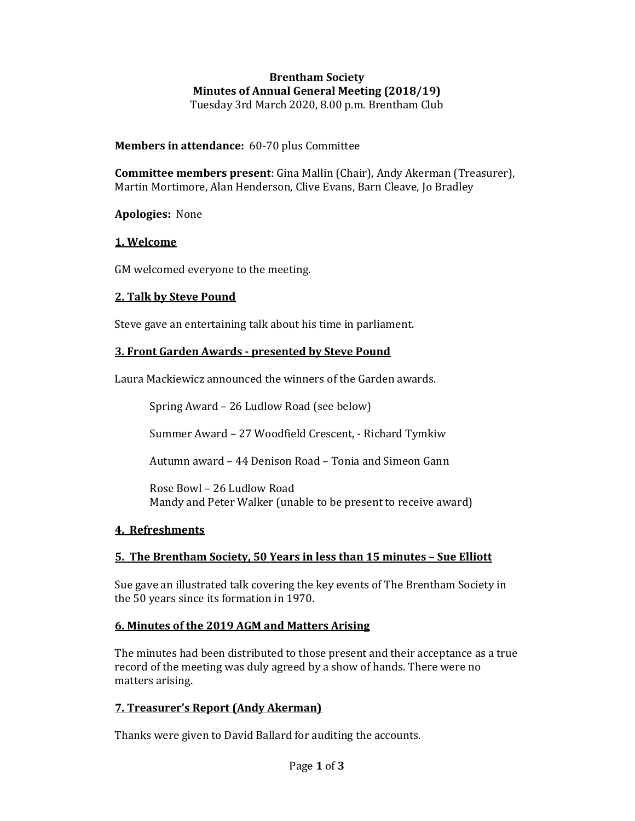#### Brentham Society Minutes of Annual General Meeting (2018/19) Tuesday 3rd March 2020, 8.00 p.m. Brentham Club

Members in attendance: 60-70 plus Committee

Committee members present: Gina Mallin (Chair), Andy Akerman (Treasurer), Martin Mortimore, Alan Henderson, Clive Evans, Barn Cleave, Jo Bradley

Apologies: None

## 1. Welcome

GM welcomed everyone to the meeting.

## 2. Talk by Steve Pound

Steve gave an entertaining talk about his time in parliament.

## 3. Front Garden Awards - presented by Steve Pound

Laura Mackiewicz announced the winners of the Garden awards.

Spring Award – 26 Ludlow Road (see below)

Summer Award – 27 Woodfield Crescent, - Richard Tymkiw

Autumn award – 44 Denison Road – Tonia and Simeon Gann

Rose Bowl – 26 Ludlow Road Mandy and Peter Walker (unable to be present to receive award)

# 4. Refreshments

# 5. The Brentham Society, 50 Years in less than 15 minutes – Sue Elliott

Sue gave an illustrated talk covering the key events of The Brentham Society in the 50 years since its formation in 1970.

#### 6. Minutes of the 2019 AGM and Matters Arising

The minutes had been distributed to those present and their acceptance as a true record of the meeting was duly agreed by a show of hands. There were no matters arising.

# 7. Treasurer's Report (Andy Akerman)

Thanks were given to David Ballard for auditing the accounts.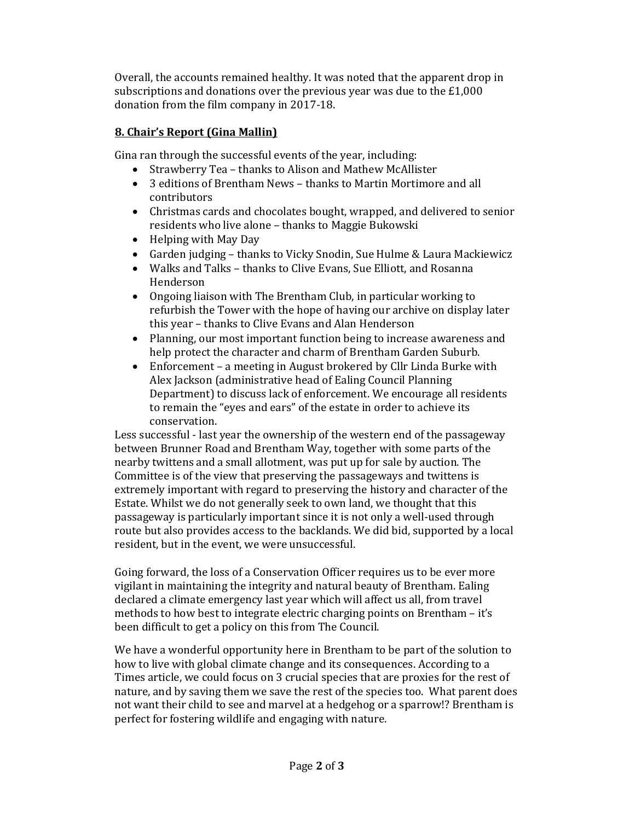Overall, the accounts remained healthy. It was noted that the apparent drop in subscriptions and donations over the previous year was due to the £1,000 donation from the film company in 2017-18.

# 8. Chair's Report (Gina Mallin)

Gina ran through the successful events of the year, including:

- Strawberry Tea thanks to Alison and Mathew McAllister
- 3 editions of Brentham News thanks to Martin Mortimore and all contributors
- Christmas cards and chocolates bought, wrapped, and delivered to senior residents who live alone – thanks to Maggie Bukowski
- Helping with May Day
- Garden judging thanks to Vicky Snodin, Sue Hulme & Laura Mackiewicz
- Walks and Talks thanks to Clive Evans, Sue Elliott, and Rosanna Henderson
- Ongoing liaison with The Brentham Club, in particular working to refurbish the Tower with the hope of having our archive on display later this year – thanks to Clive Evans and Alan Henderson
- Planning, our most important function being to increase awareness and help protect the character and charm of Brentham Garden Suburb.
- Enforcement a meeting in August brokered by Cllr Linda Burke with Alex Jackson (administrative head of Ealing Council Planning Department) to discuss lack of enforcement. We encourage all residents to remain the "eyes and ears" of the estate in order to achieve its conservation.

Less successful - last year the ownership of the western end of the passageway between Brunner Road and Brentham Way, together with some parts of the nearby twittens and a small allotment, was put up for sale by auction. The Committee is of the view that preserving the passageways and twittens is extremely important with regard to preserving the history and character of the Estate. Whilst we do not generally seek to own land, we thought that this passageway is particularly important since it is not only a well-used through route but also provides access to the backlands. We did bid, supported by a local resident, but in the event, we were unsuccessful.

Going forward, the loss of a Conservation Officer requires us to be ever more vigilant in maintaining the integrity and natural beauty of Brentham. Ealing declared a climate emergency last year which will affect us all, from travel methods to how best to integrate electric charging points on Brentham – it's been difficult to get a policy on this from The Council.

We have a wonderful opportunity here in Brentham to be part of the solution to how to live with global climate change and its consequences. According to a Times article, we could focus on 3 crucial species that are proxies for the rest of nature, and by saving them we save the rest of the species too. What parent does not want their child to see and marvel at a hedgehog or a sparrow!? Brentham is perfect for fostering wildlife and engaging with nature.